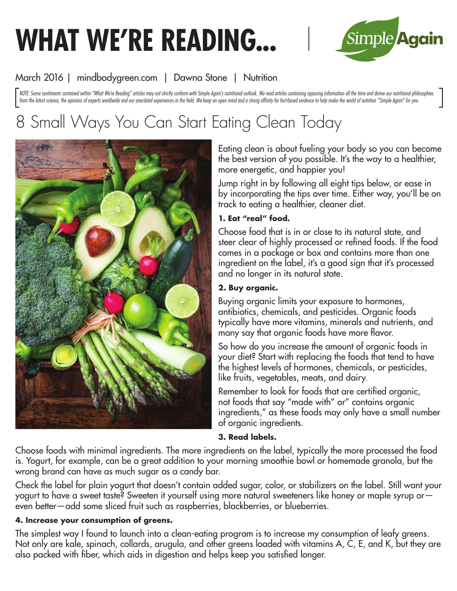# **WHAT WE'RE READING...**



# March 2016 | mindbodygreen.com | Dawna Stone | Nutrition

NOTE: Some sentiments contained within "What We're Reading" articles may not strictly conform with Simple Again's nutritional outlook. We read articles containing opposing information all the time and derive our nutritiona from the latest science, the opinions of experts worldwide and our anecdotal experiences in the field. We keep an open mind and a strong affinity for fact-based evidence to help make the world of nutrition "Simple Again" f

# 8 Small Ways You Can Start Eating Clean Today



Eating clean is about fueling your body so you can become the best version of you possible. It's the way to a healthier, more energetic, and happier you!

Jump right in by following all eight tips below, or ease in by incorporating the tips over time. Either way, you'll be on track to eating a healthier, cleaner diet.

# **1. Eat "real" food.**

Choose food that is in or close to its natural state, and steer clear of highly processed or refined foods. If the food comes in a package or box and contains more than one ingredient on the label, it's a good sign that it's processed and no longer in its natural state.

# **2. Buy organic.**

Buying organic limits your exposure to hormones, antibiotics, chemicals, and pesticides. Organic foods typically have more vitamins, minerals and nutrients, and many say that organic foods have more flavor.

So how do you increase the amount of organic foods in your diet? Start with replacing the foods that tend to have the highest levels of hormones, chemicals, or pesticides, like fruits, vegetables, meats, and dairy.

Remember to look for foods that are certified organic, not foods that say "made with" or" contains organic ingredients," as these foods may only have a small number of organic ingredients.

# **3. Read labels.**

Choose foods with minimal ingredients. The more ingredients on the label, typically the more processed the food is. Yogurt, for example, can be a great addition to your morning smoothie bowl or homemade granola, but the wrong brand can have as much sugar as a candy bar.

Check the label for plain yogurt that doesn't contain added sugar, color, or stabilizers on the label. Still want your yogurt to have a sweet taste? Sweeten it yourself using more natural sweeteners like honey or maple syrup or even better—add some sliced fruit such as raspberries, blackberries, or blueberries.

# **4. Increase your consumption of greens.**

The simplest way I found to launch into a clean-eating program is to increase my consumption of leafy greens. Not only are kale, spinach, collards, arugula, and other greens loaded with vitamins A, C, E, and K, but they are also packed with fiber, which aids in digestion and helps keep you satisfied longer.